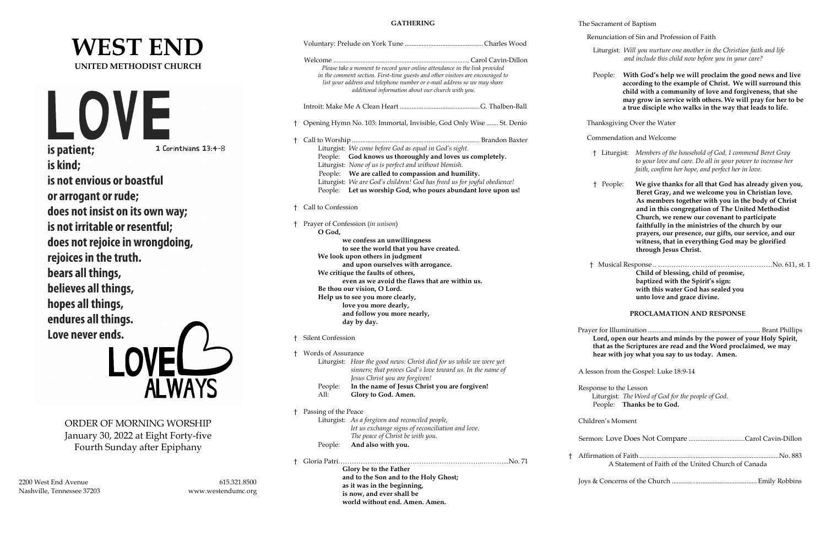# **WEST END UNITED METHODIST CHURCH** LO is patient; 1 Corinthians 13:4-8 is kind; is not envious or boastful or arrogant or rude; does not insist on its own way; is not irritable or resentful; does not rejoice in wrongdoing, rejoices in the truth. bears all things, believes all things, hopes all things, endures all things. Love never ends.

ORDER OF MORNING WORSHIP January 30, 2022 at Eight Forty-five Fourth Sunday after Epiphany

**ALWAYS** 

2200 West End Avenue 615.321.8500 Nashville, Tennessee 37203 www.westendumc.org

**GATHERING**

|  |                                                                                                                                                                                                                                                                                               | Renunciation of Sin and Profession of Faith                                                                                                                                                                                                                                                                            |
|--|-----------------------------------------------------------------------------------------------------------------------------------------------------------------------------------------------------------------------------------------------------------------------------------------------|------------------------------------------------------------------------------------------------------------------------------------------------------------------------------------------------------------------------------------------------------------------------------------------------------------------------|
|  |                                                                                                                                                                                                                                                                                               | Liturgist: Will you nurture one another in the Christian faith and life<br>and include this child now before you in your care?                                                                                                                                                                                         |
|  | Please take a moment to record your online attendance in the link provided<br>in the comment section. First-time guests and other visitors are encouraged to<br>list your address and telephone number or e-mail address so we may share<br>additional information about our church with you. | With God's help we will proclaim the good news and live<br>People:<br>according to the example of Christ. We will surround this<br>child with a community of love and forgiveness, that she<br>may grow in service with others. We will pray for her to be<br>a true disciple who walks in the way that leads to life. |
|  | <sup>†</sup> Opening Hymn No. 103: Immortal, Invisible, God Only Wise  St. Denio                                                                                                                                                                                                              | Thanksgiving Over the Water                                                                                                                                                                                                                                                                                            |
|  |                                                                                                                                                                                                                                                                                               | Commendation and Welcome                                                                                                                                                                                                                                                                                               |
|  | Liturgist: We come before God as equal in God's sight.<br>People: God knows us thoroughly and loves us completely.<br>Liturgist: None of us is perfect and without blemish.<br>People: We are called to compassion and humility.                                                              | † Liturgist: Members of the household of God, I commend Beret Gray<br>to your love and care. Do all in your power to increase her<br>faith, confirm her hope, and perfect her in love.                                                                                                                                 |
|  | Liturgist: We are God's children! God has freed us for joyful obedience!<br>People: Let us worship God, who pours abundant love upon us!<br>† Call to Confession                                                                                                                              | We give thanks for all that God has already given you,<br>$^{\dagger}$<br>People:<br>Beret Gray, and we welcome you in Christian love.<br>As members together with you in the body of Christ<br>and in this congregation of The United Methodist                                                                       |
|  | Prayer of Confession (in unison)<br>O God,<br>we confess an unwillingness<br>to see the world that you have created.<br>We look upon others in judgment                                                                                                                                       | Church, we renew our covenant to participate<br>faithfully in the ministries of the church by our<br>prayers, our presence, our gifts, our service, and our<br>witness, that in everything God may be glorified<br>through Jesus Christ.                                                                               |
|  | and upon ourselves with arrogance.<br>We critique the faults of others,<br>even as we avoid the flaws that are within us.<br>Be thou our vision, O Lord.<br>Help us to see you more clearly,<br>love you more dearly,<br>and follow you more nearly,<br>day by day.                           | Child of blessing, child of promise,<br>baptized with the Spirit's sign:<br>with this water God has sealed you<br>unto love and grace divine.<br>PROCLAMATION AND RESPONSE                                                                                                                                             |
|  | † Silent Confession                                                                                                                                                                                                                                                                           | Lord, open our hearts and minds by the power of your Holy Spirit,<br>that as the Scriptures are read and the Word proclaimed, we may                                                                                                                                                                                   |
|  | <sup>†</sup> Words of Assurance<br>Liturgist: Hear the good news: Christ died for us while we were yet<br>sinners; that proves God's love toward us. In the name of<br>Jesus Christ you are forgiven!                                                                                         | hear with joy what you say to us today. Amen.<br>A lesson from the Gospel: Luke 18:9-14                                                                                                                                                                                                                                |
|  | In the name of Jesus Christ you are forgiven!<br>People:<br>Glory to God. Amen.<br>All:                                                                                                                                                                                                       | Response to the Lesson<br>Liturgist: The Word of God for the people of God.<br>People: Thanks be to God.                                                                                                                                                                                                               |
|  | † Passing of the Peace<br>Liturgist: As a forgiven and reconciled people,<br>let us exchange signs of reconciliation and love.                                                                                                                                                                | Children's Moment                                                                                                                                                                                                                                                                                                      |
|  | The peace of Christ be with you.<br>And also with you.<br>People:                                                                                                                                                                                                                             |                                                                                                                                                                                                                                                                                                                        |
|  |                                                                                                                                                                                                                                                                                               | A Statement of Faith of the United Church of Canada                                                                                                                                                                                                                                                                    |
|  | Glory be to the Father<br>and to the Son and to the Holy Ghost;<br>as it was in the beginning,<br>is now, and ever shall be<br>world without end. Amen. Amen.                                                                                                                                 |                                                                                                                                                                                                                                                                                                                        |

### The Sacrament of Baptism